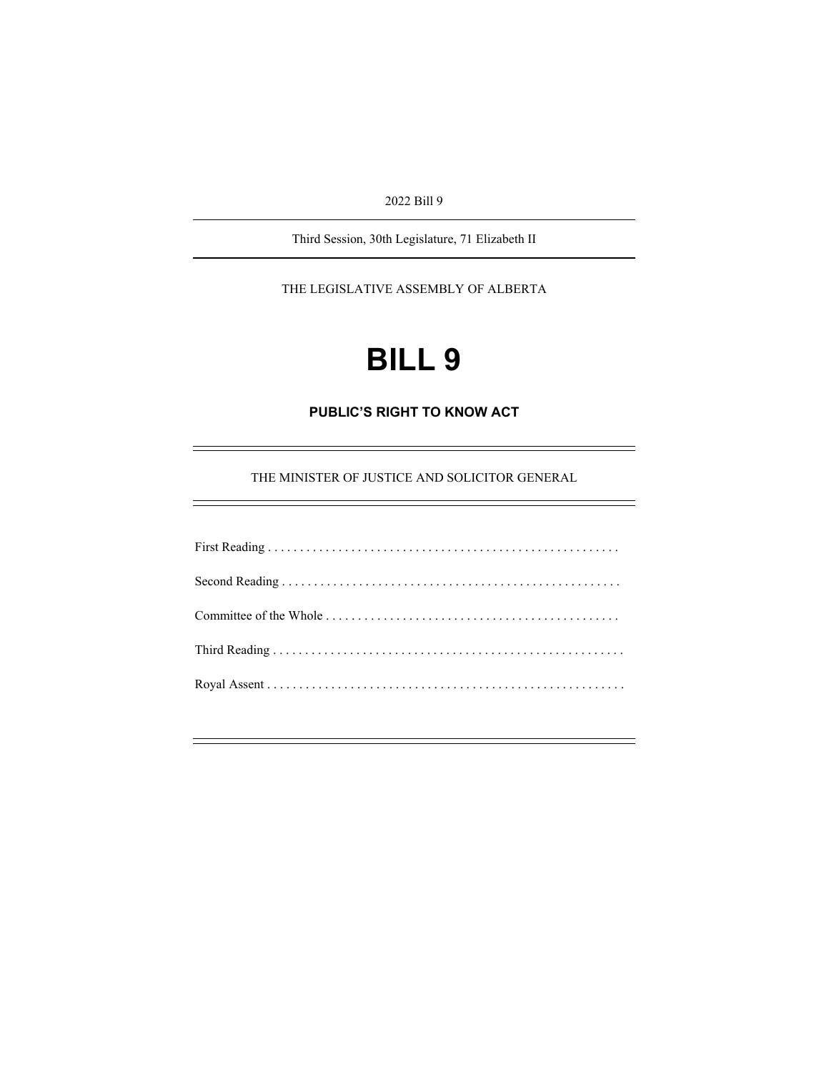2022 Bill 9

Third Session, 30th Legislature, 71 Elizabeth II

THE LEGISLATIVE ASSEMBLY OF ALBERTA

# **BILL 9**

**PUBLIC'S RIGHT TO KNOW ACT** 

THE MINISTER OF JUSTICE AND SOLICITOR GENERAL

e<br>S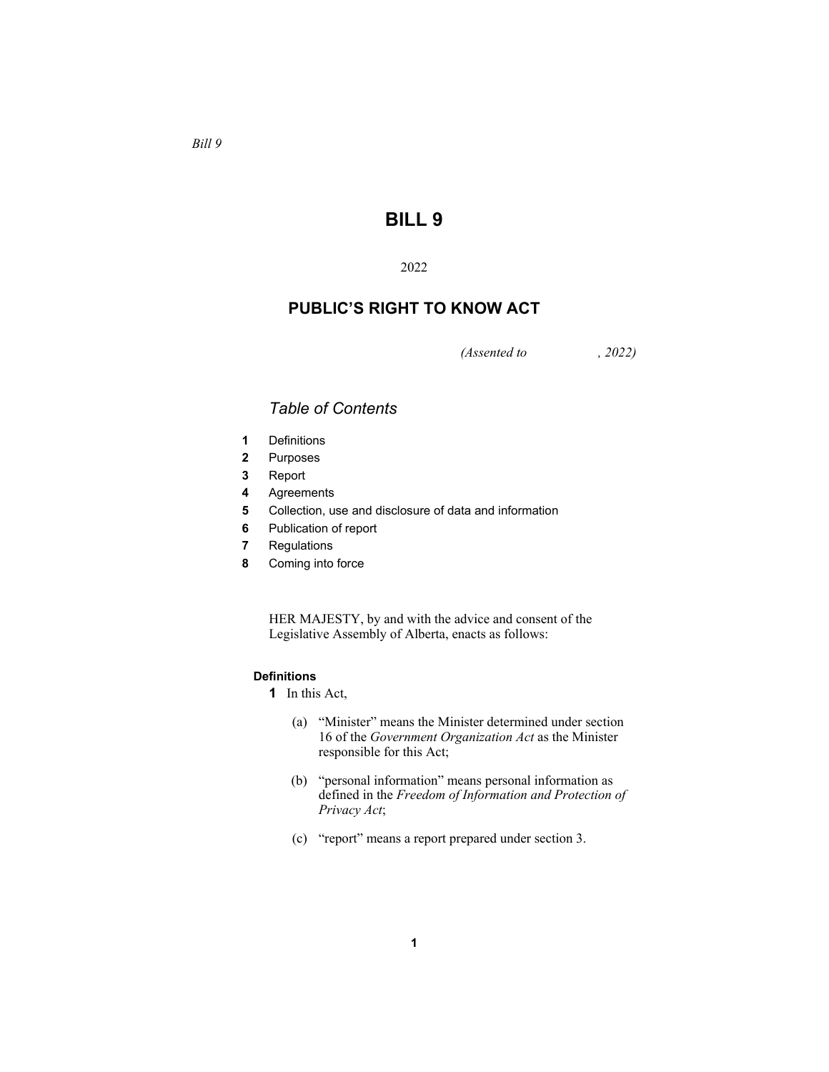*Bill 9* 

# **BILL 9**

# 2022

# **PUBLIC'S RIGHT TO KNOW ACT**

*(Assented to , 2022)* 

# *Table of Contents*

- **1** Definitions
- **2** Purposes
- **3** Report
- **4** Agreements
- **5** Collection, use and disclosure of data and information
- **6** Publication of report
- **7** Regulations
- **8** Coming into force

HER MAJESTY, by and with the advice and consent of the Legislative Assembly of Alberta, enacts as follows:

# **Definitions**

- **1** In this Act,
	- (a) "Minister" means the Minister determined under section 16 of the *Government Organization Act* as the Minister responsible for this Act;
	- (b) "personal information" means personal information as defined in the *Freedom of Information and Protection of Privacy Act*;
	- (c) "report" means a report prepared under section 3.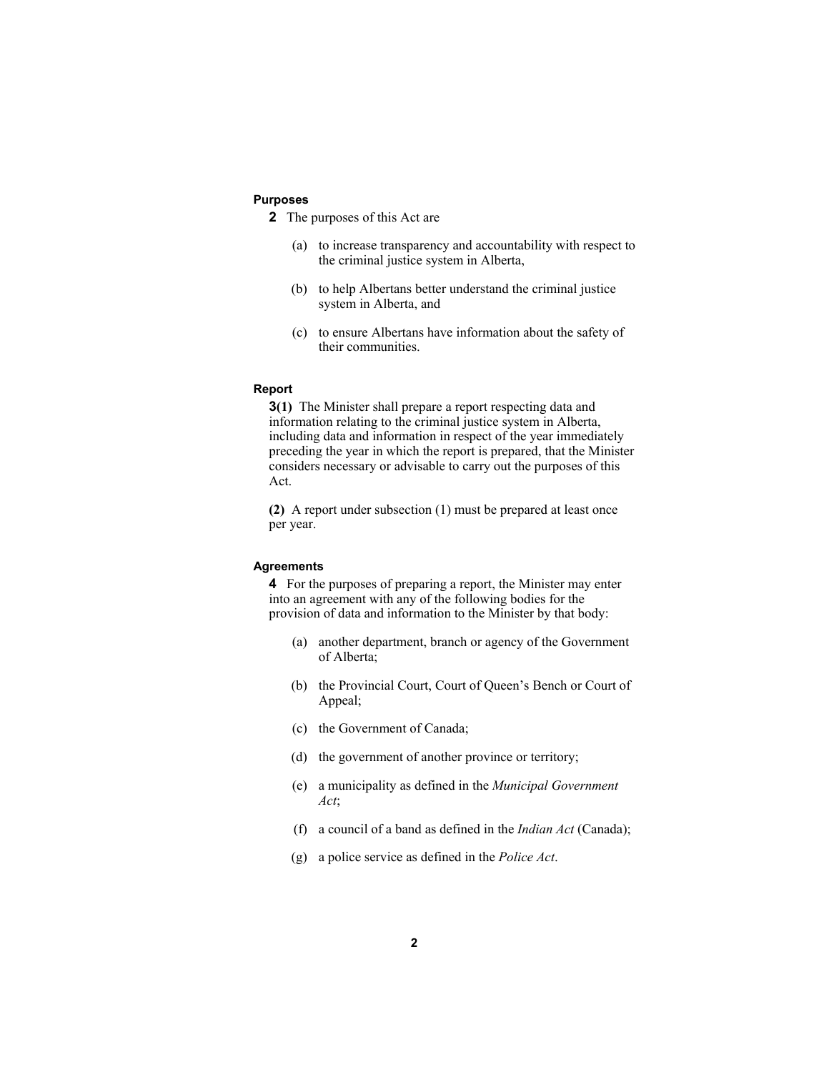## **Purposes**

**2** The purposes of this Act are

- (a) to increase transparency and accountability with respect to the criminal justice system in Alberta,
- (b) to help Albertans better understand the criminal justice system in Alberta, and
- (c) to ensure Albertans have information about the safety of their communities.

#### **Report**

**3(1)** The Minister shall prepare a report respecting data and information relating to the criminal justice system in Alberta, including data and information in respect of the year immediately preceding the year in which the report is prepared, that the Minister considers necessary or advisable to carry out the purposes of this Act.

**(2)** A report under subsection (1) must be prepared at least once per year.

#### **Agreements**

**4** For the purposes of preparing a report, the Minister may enter into an agreement with any of the following bodies for the provision of data and information to the Minister by that body:

- (a) another department, branch or agency of the Government of Alberta;
- (b) the Provincial Court, Court of Queen's Bench or Court of Appeal;
- (c) the Government of Canada;
- (d) the government of another province or territory;
- (e) a municipality as defined in the *Municipal Government Act*;
- (f) a council of a band as defined in the *Indian Act* (Canada);
- (g) a police service as defined in the *Police Act*.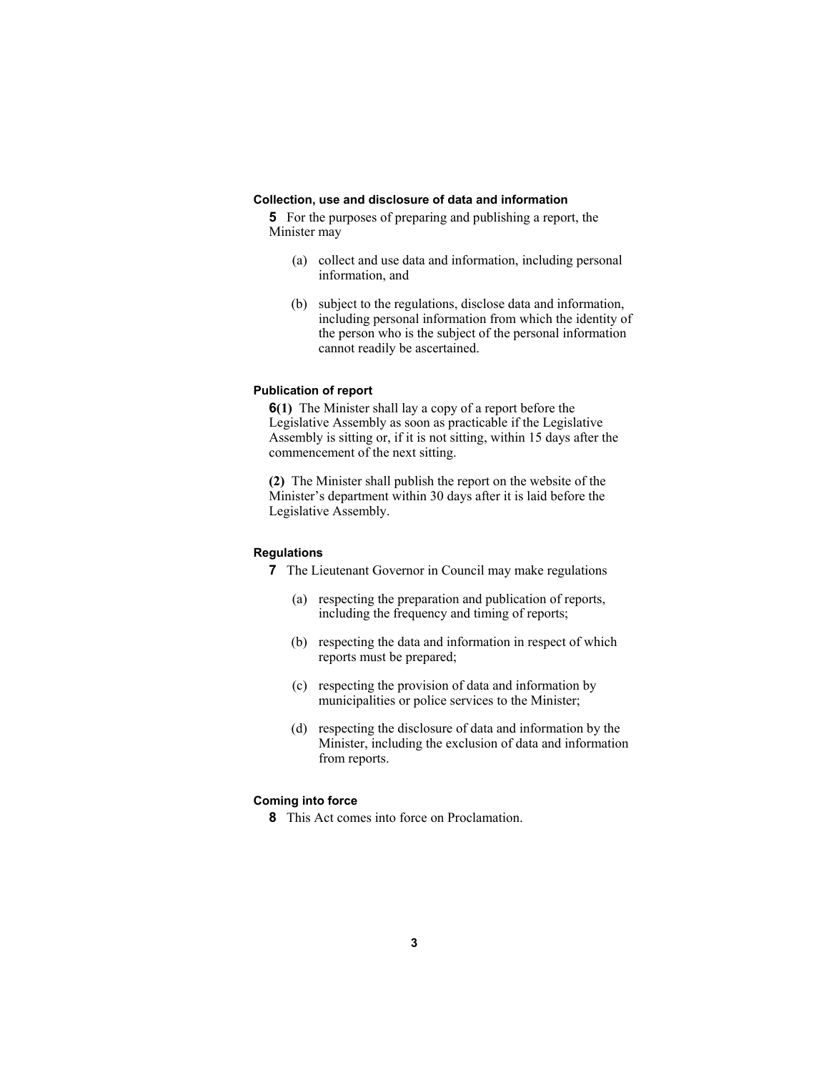# **Collection, use and disclosure of data and information**

**5** For the purposes of preparing and publishing a report, the Minister may

- (a) collect and use data and information, including personal information, and
- (b) subject to the regulations, disclose data and information, including personal information from which the identity of the person who is the subject of the personal information cannot readily be ascertained.

# **Publication of report**

**6(1)** The Minister shall lay a copy of a report before the Legislative Assembly as soon as practicable if the Legislative Assembly is sitting or, if it is not sitting, within 15 days after the commencement of the next sitting.

**(2)** The Minister shall publish the report on the website of the Minister's department within 30 days after it is laid before the Legislative Assembly.

# **Regulations**

**7** The Lieutenant Governor in Council may make regulations

- (a) respecting the preparation and publication of reports, including the frequency and timing of reports;
- (b) respecting the data and information in respect of which reports must be prepared;
- (c) respecting the provision of data and information by municipalities or police services to the Minister;
- (d) respecting the disclosure of data and information by the Minister, including the exclusion of data and information from reports.

## **Coming into force**

**8** This Act comes into force on Proclamation.